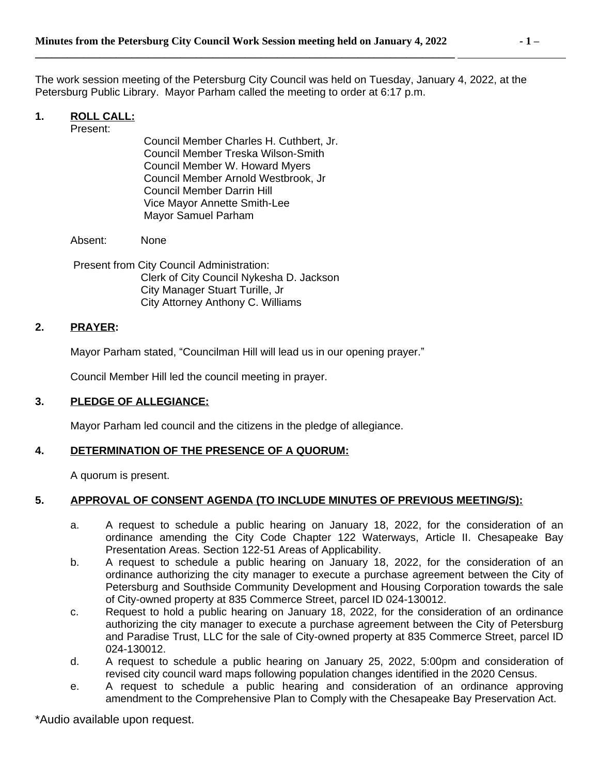The work session meeting of the Petersburg City Council was held on Tuesday, January 4, 2022, at the Petersburg Public Library. Mayor Parham called the meeting to order at 6:17 p.m.

## **1. ROLL CALL:**

Present:

Council Member Charles H. Cuthbert, Jr. Council Member Treska Wilson-Smith Council Member W. Howard Myers Council Member Arnold Westbrook, Jr Council Member Darrin Hill Vice Mayor Annette Smith-Lee Mayor Samuel Parham

Absent: None

Present from City Council Administration: Clerk of City Council Nykesha D. Jackson City Manager Stuart Turille, Jr City Attorney Anthony C. Williams

### **2. PRAYER:**

Mayor Parham stated, "Councilman Hill will lead us in our opening prayer."

Council Member Hill led the council meeting in prayer.

### **3. PLEDGE OF ALLEGIANCE:**

Mayor Parham led council and the citizens in the pledge of allegiance.

#### **4. DETERMINATION OF THE PRESENCE OF A QUORUM:**

A quorum is present.

## **5. APPROVAL OF CONSENT AGENDA (TO INCLUDE MINUTES OF PREVIOUS MEETING/S):**

- a. A request to schedule a public hearing on January 18, 2022, for the consideration of an ordinance amending the City Code Chapter 122 Waterways, Article II. Chesapeake Bay Presentation Areas. Section 122-51 Areas of Applicability.
- b. A request to schedule a public hearing on January 18, 2022, for the consideration of an ordinance authorizing the city manager to execute a purchase agreement between the City of Petersburg and Southside Community Development and Housing Corporation towards the sale of City-owned property at 835 Commerce Street, parcel ID 024-130012.
- c. Request to hold a public hearing on January 18, 2022, for the consideration of an ordinance authorizing the city manager to execute a purchase agreement between the City of Petersburg and Paradise Trust, LLC for the sale of City-owned property at 835 Commerce Street, parcel ID 024-130012.
- d. A request to schedule a public hearing on January 25, 2022, 5:00pm and consideration of revised city council ward maps following population changes identified in the 2020 Census.
- e. A request to schedule a public hearing and consideration of an ordinance approving amendment to the Comprehensive Plan to Comply with the Chesapeake Bay Preservation Act.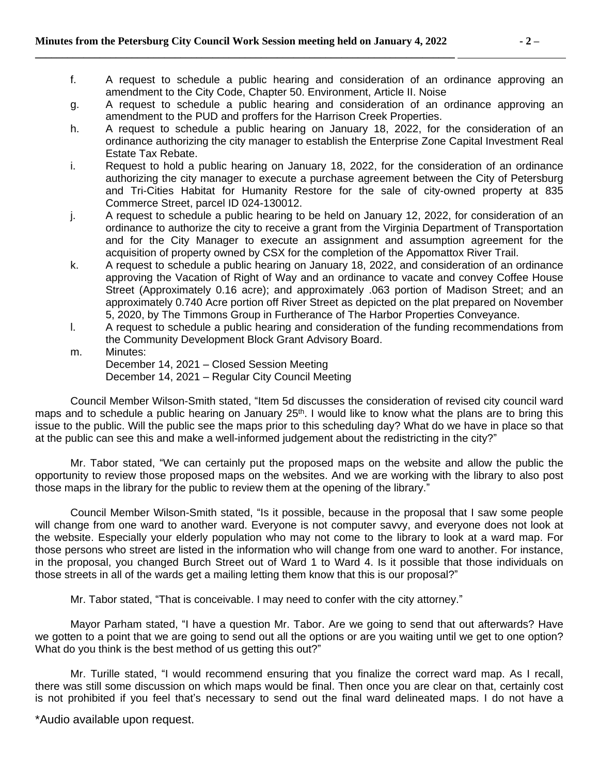- f. A request to schedule a public hearing and consideration of an ordinance approving an amendment to the City Code, Chapter 50. Environment, Article II. Noise
- g. A request to schedule a public hearing and consideration of an ordinance approving an amendment to the PUD and proffers for the Harrison Creek Properties.
- h. A request to schedule a public hearing on January 18, 2022, for the consideration of an ordinance authorizing the city manager to establish the Enterprise Zone Capital Investment Real Estate Tax Rebate.
- i. Request to hold a public hearing on January 18, 2022, for the consideration of an ordinance authorizing the city manager to execute a purchase agreement between the City of Petersburg and Tri-Cities Habitat for Humanity Restore for the sale of city-owned property at 835 Commerce Street, parcel ID 024-130012.
- j. A request to schedule a public hearing to be held on January 12, 2022, for consideration of an ordinance to authorize the city to receive a grant from the Virginia Department of Transportation and for the City Manager to execute an assignment and assumption agreement for the acquisition of property owned by CSX for the completion of the Appomattox River Trail.
- k. A request to schedule a public hearing on January 18, 2022, and consideration of an ordinance approving the Vacation of Right of Way and an ordinance to vacate and convey Coffee House Street (Approximately 0.16 acre); and approximately .063 portion of Madison Street; and an approximately 0.740 Acre portion off River Street as depicted on the plat prepared on November 5, 2020, by The Timmons Group in Furtherance of The Harbor Properties Conveyance.
- l. A request to schedule a public hearing and consideration of the funding recommendations from the Community Development Block Grant Advisory Board.
- m. Minutes: December 14, 2021 – Closed Session Meeting December 14, 2021 – Regular City Council Meeting

Council Member Wilson-Smith stated, "Item 5d discusses the consideration of revised city council ward maps and to schedule a public hearing on January 25<sup>th</sup>. I would like to know what the plans are to bring this issue to the public. Will the public see the maps prior to this scheduling day? What do we have in place so that at the public can see this and make a well-informed judgement about the redistricting in the city?"

Mr. Tabor stated, "We can certainly put the proposed maps on the website and allow the public the opportunity to review those proposed maps on the websites. And we are working with the library to also post those maps in the library for the public to review them at the opening of the library."

Council Member Wilson-Smith stated, "Is it possible, because in the proposal that I saw some people will change from one ward to another ward. Everyone is not computer savvy, and everyone does not look at the website. Especially your elderly population who may not come to the library to look at a ward map. For those persons who street are listed in the information who will change from one ward to another. For instance, in the proposal, you changed Burch Street out of Ward 1 to Ward 4. Is it possible that those individuals on those streets in all of the wards get a mailing letting them know that this is our proposal?"

Mr. Tabor stated, "That is conceivable. I may need to confer with the city attorney."

Mayor Parham stated, "I have a question Mr. Tabor. Are we going to send that out afterwards? Have we gotten to a point that we are going to send out all the options or are you waiting until we get to one option? What do you think is the best method of us getting this out?"

Mr. Turille stated, "I would recommend ensuring that you finalize the correct ward map. As I recall, there was still some discussion on which maps would be final. Then once you are clear on that, certainly cost is not prohibited if you feel that's necessary to send out the final ward delineated maps. I do not have a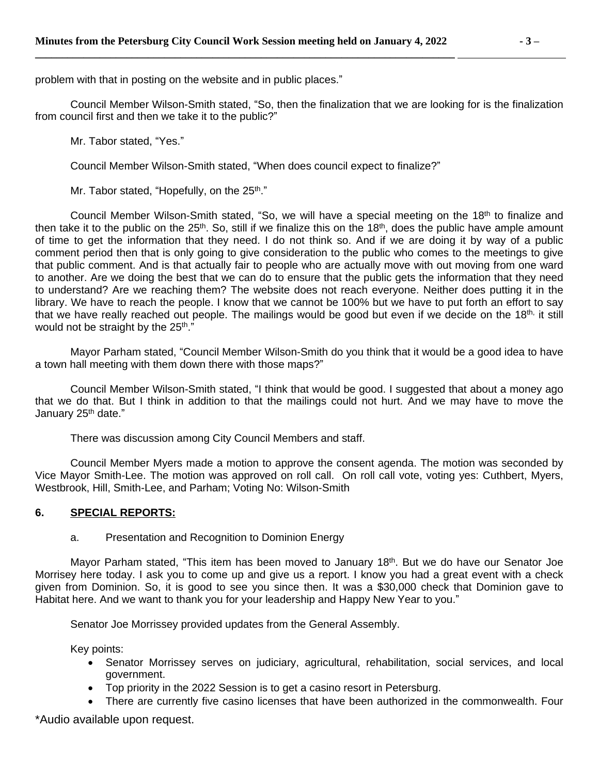problem with that in posting on the website and in public places."

Council Member Wilson-Smith stated, "So, then the finalization that we are looking for is the finalization from council first and then we take it to the public?"

Mr. Tabor stated, "Yes."

Council Member Wilson-Smith stated, "When does council expect to finalize?"

Mr. Tabor stated, "Hopefully, on the 25<sup>th</sup>."

Council Member Wilson-Smith stated, "So, we will have a special meeting on the 18th to finalize and then take it to the public on the 25<sup>th</sup>. So, still if we finalize this on the 18<sup>th</sup>, does the public have ample amount of time to get the information that they need. I do not think so. And if we are doing it by way of a public comment period then that is only going to give consideration to the public who comes to the meetings to give that public comment. And is that actually fair to people who are actually move with out moving from one ward to another. Are we doing the best that we can do to ensure that the public gets the information that they need to understand? Are we reaching them? The website does not reach everyone. Neither does putting it in the library. We have to reach the people. I know that we cannot be 100% but we have to put forth an effort to say that we have really reached out people. The mailings would be good but even if we decide on the 18<sup>th,</sup> it still would not be straight by the 25<sup>th</sup>."

Mayor Parham stated, "Council Member Wilson-Smith do you think that it would be a good idea to have a town hall meeting with them down there with those maps?"

Council Member Wilson-Smith stated, "I think that would be good. I suggested that about a money ago that we do that. But I think in addition to that the mailings could not hurt. And we may have to move the January 25<sup>th</sup> date."

There was discussion among City Council Members and staff.

Council Member Myers made a motion to approve the consent agenda. The motion was seconded by Vice Mayor Smith-Lee. The motion was approved on roll call. On roll call vote, voting yes: Cuthbert, Myers, Westbrook, Hill, Smith-Lee, and Parham; Voting No: Wilson-Smith

### **6. SPECIAL REPORTS:**

#### a. Presentation and Recognition to Dominion Energy

Mayor Parham stated, "This item has been moved to January 18<sup>th</sup>. But we do have our Senator Joe Morrisey here today. I ask you to come up and give us a report. I know you had a great event with a check given from Dominion. So, it is good to see you since then. It was a \$30,000 check that Dominion gave to Habitat here. And we want to thank you for your leadership and Happy New Year to you."

Senator Joe Morrissey provided updates from the General Assembly.

Key points:

- Senator Morrissey serves on judiciary, agricultural, rehabilitation, social services, and local government.
- Top priority in the 2022 Session is to get a casino resort in Petersburg.
- There are currently five casino licenses that have been authorized in the commonwealth. Four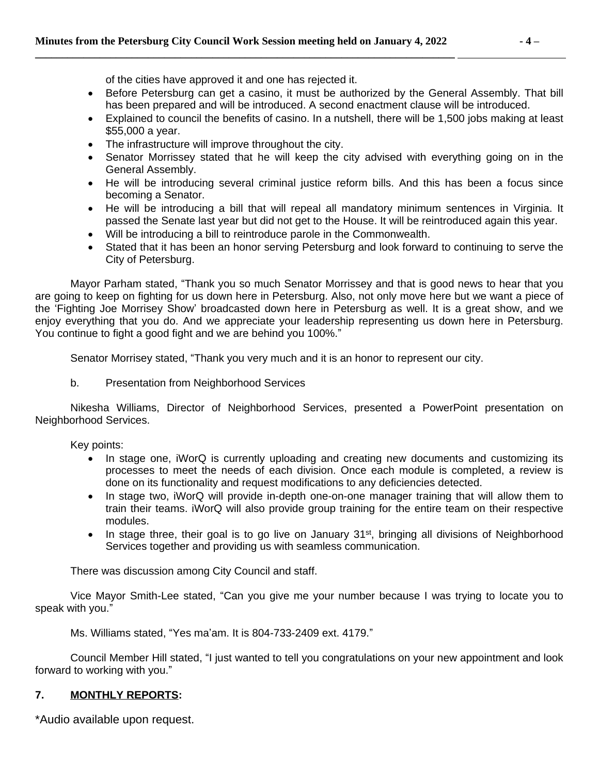of the cities have approved it and one has rejected it.

- Before Petersburg can get a casino, it must be authorized by the General Assembly. That bill has been prepared and will be introduced. A second enactment clause will be introduced.
- Explained to council the benefits of casino. In a nutshell, there will be 1,500 jobs making at least \$55,000 a year.
- The infrastructure will improve throughout the city.
- Senator Morrissey stated that he will keep the city advised with everything going on in the General Assembly.
- He will be introducing several criminal justice reform bills. And this has been a focus since becoming a Senator.
- He will be introducing a bill that will repeal all mandatory minimum sentences in Virginia. It passed the Senate last year but did not get to the House. It will be reintroduced again this year.
- Will be introducing a bill to reintroduce parole in the Commonwealth.
- Stated that it has been an honor serving Petersburg and look forward to continuing to serve the City of Petersburg.

Mayor Parham stated, "Thank you so much Senator Morrissey and that is good news to hear that you are going to keep on fighting for us down here in Petersburg. Also, not only move here but we want a piece of the 'Fighting Joe Morrisey Show' broadcasted down here in Petersburg as well. It is a great show, and we enjoy everything that you do. And we appreciate your leadership representing us down here in Petersburg. You continue to fight a good fight and we are behind you 100%."

Senator Morrisey stated, "Thank you very much and it is an honor to represent our city.

b. Presentation from Neighborhood Services

Nikesha Williams, Director of Neighborhood Services, presented a PowerPoint presentation on Neighborhood Services.

Key points:

- In stage one, iWorQ is currently uploading and creating new documents and customizing its processes to meet the needs of each division. Once each module is completed, a review is done on its functionality and request modifications to any deficiencies detected.
- In stage two, iWorQ will provide in-depth one-on-one manager training that will allow them to train their teams. iWorQ will also provide group training for the entire team on their respective modules.
- In stage three, their goal is to go live on January 31<sup>st</sup>, bringing all divisions of Neighborhood Services together and providing us with seamless communication.

There was discussion among City Council and staff.

Vice Mayor Smith-Lee stated, "Can you give me your number because I was trying to locate you to speak with you."

Ms. Williams stated, "Yes ma'am. It is 804-733-2409 ext. 4179."

Council Member Hill stated, "I just wanted to tell you congratulations on your new appointment and look forward to working with you."

### **7. MONTHLY REPORTS:**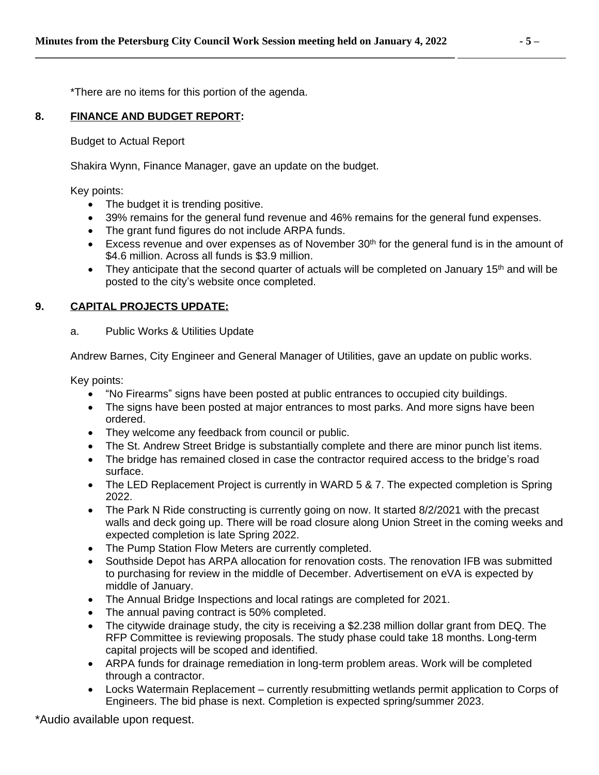\*There are no items for this portion of the agenda.

## **8. FINANCE AND BUDGET REPORT:**

Budget to Actual Report

Shakira Wynn, Finance Manager, gave an update on the budget.

Key points:

- The budget it is trending positive.
- 39% remains for the general fund revenue and 46% remains for the general fund expenses.
- The grant fund figures do not include ARPA funds.
- Excess revenue and over expenses as of November  $30<sup>th</sup>$  for the general fund is in the amount of \$4.6 million. Across all funds is \$3.9 million.
- They anticipate that the second quarter of actuals will be completed on January 15<sup>th</sup> and will be posted to the city's website once completed.

## **9. CAPITAL PROJECTS UPDATE:**

a. Public Works & Utilities Update

Andrew Barnes, City Engineer and General Manager of Utilities, gave an update on public works.

Key points:

- "No Firearms" signs have been posted at public entrances to occupied city buildings.
- The signs have been posted at major entrances to most parks. And more signs have been ordered.
- They welcome any feedback from council or public.
- The St. Andrew Street Bridge is substantially complete and there are minor punch list items.
- The bridge has remained closed in case the contractor required access to the bridge's road surface.
- The LED Replacement Project is currently in WARD 5 & 7. The expected completion is Spring 2022.
- The Park N Ride constructing is currently going on now. It started 8/2/2021 with the precast walls and deck going up. There will be road closure along Union Street in the coming weeks and expected completion is late Spring 2022.
- The Pump Station Flow Meters are currently completed.
- Southside Depot has ARPA allocation for renovation costs. The renovation IFB was submitted to purchasing for review in the middle of December. Advertisement on eVA is expected by middle of January.
- The Annual Bridge Inspections and local ratings are completed for 2021.
- The annual paving contract is 50% completed.
- The citywide drainage study, the city is receiving a \$2.238 million dollar grant from DEQ. The RFP Committee is reviewing proposals. The study phase could take 18 months. Long-term capital projects will be scoped and identified.
- ARPA funds for drainage remediation in long-term problem areas. Work will be completed through a contractor.
- Locks Watermain Replacement currently resubmitting wetlands permit application to Corps of Engineers. The bid phase is next. Completion is expected spring/summer 2023.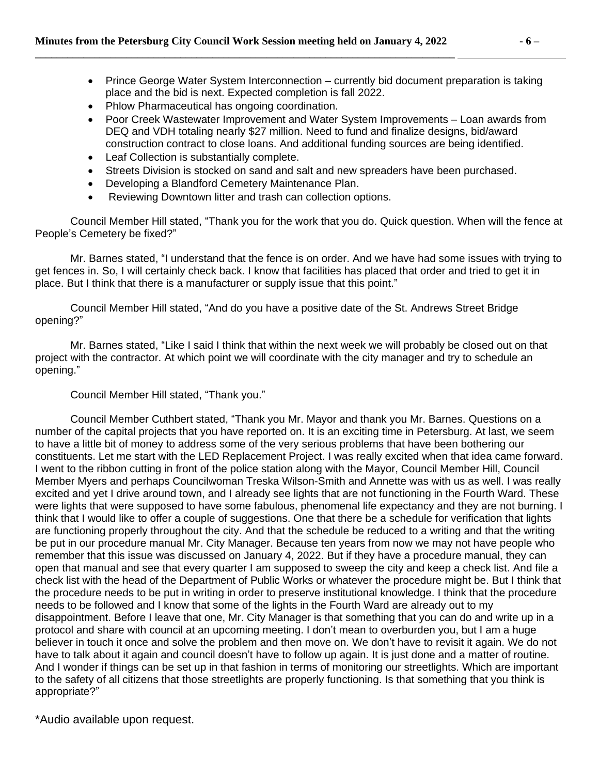- Prince George Water System Interconnection currently bid document preparation is taking place and the bid is next. Expected completion is fall 2022.
- Phlow Pharmaceutical has ongoing coordination.
- Poor Creek Wastewater Improvement and Water System Improvements Loan awards from DEQ and VDH totaling nearly \$27 million. Need to fund and finalize designs, bid/award construction contract to close loans. And additional funding sources are being identified.
- Leaf Collection is substantially complete.
- Streets Division is stocked on sand and salt and new spreaders have been purchased.
- Developing a Blandford Cemetery Maintenance Plan.
- Reviewing Downtown litter and trash can collection options.

Council Member Hill stated, "Thank you for the work that you do. Quick question. When will the fence at People's Cemetery be fixed?"

Mr. Barnes stated, "I understand that the fence is on order. And we have had some issues with trying to get fences in. So, I will certainly check back. I know that facilities has placed that order and tried to get it in place. But I think that there is a manufacturer or supply issue that this point."

Council Member Hill stated, "And do you have a positive date of the St. Andrews Street Bridge opening?"

Mr. Barnes stated, "Like I said I think that within the next week we will probably be closed out on that project with the contractor. At which point we will coordinate with the city manager and try to schedule an opening."

Council Member Hill stated, "Thank you."

Council Member Cuthbert stated, "Thank you Mr. Mayor and thank you Mr. Barnes. Questions on a number of the capital projects that you have reported on. It is an exciting time in Petersburg. At last, we seem to have a little bit of money to address some of the very serious problems that have been bothering our constituents. Let me start with the LED Replacement Project. I was really excited when that idea came forward. I went to the ribbon cutting in front of the police station along with the Mayor, Council Member Hill, Council Member Myers and perhaps Councilwoman Treska Wilson-Smith and Annette was with us as well. I was really excited and yet I drive around town, and I already see lights that are not functioning in the Fourth Ward. These were lights that were supposed to have some fabulous, phenomenal life expectancy and they are not burning. I think that I would like to offer a couple of suggestions. One that there be a schedule for verification that lights are functioning properly throughout the city. And that the schedule be reduced to a writing and that the writing be put in our procedure manual Mr. City Manager. Because ten years from now we may not have people who remember that this issue was discussed on January 4, 2022. But if they have a procedure manual, they can open that manual and see that every quarter I am supposed to sweep the city and keep a check list. And file a check list with the head of the Department of Public Works or whatever the procedure might be. But I think that the procedure needs to be put in writing in order to preserve institutional knowledge. I think that the procedure needs to be followed and I know that some of the lights in the Fourth Ward are already out to my disappointment. Before I leave that one, Mr. City Manager is that something that you can do and write up in a protocol and share with council at an upcoming meeting. I don't mean to overburden you, but I am a huge believer in touch it once and solve the problem and then move on. We don't have to revisit it again. We do not have to talk about it again and council doesn't have to follow up again. It is just done and a matter of routine. And I wonder if things can be set up in that fashion in terms of monitoring our streetlights. Which are important to the safety of all citizens that those streetlights are properly functioning. Is that something that you think is appropriate?"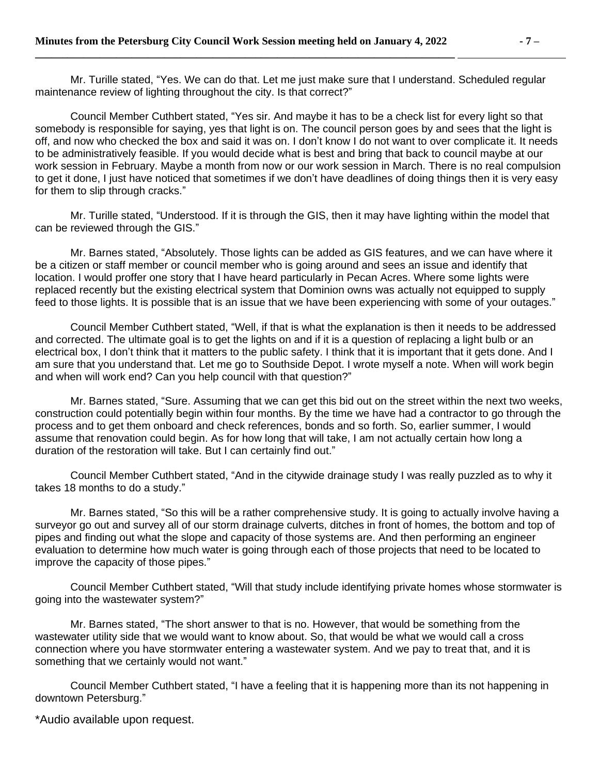Mr. Turille stated, "Yes. We can do that. Let me just make sure that I understand. Scheduled regular maintenance review of lighting throughout the city. Is that correct?"

Council Member Cuthbert stated, "Yes sir. And maybe it has to be a check list for every light so that somebody is responsible for saying, yes that light is on. The council person goes by and sees that the light is off, and now who checked the box and said it was on. I don't know I do not want to over complicate it. It needs to be administratively feasible. If you would decide what is best and bring that back to council maybe at our work session in February. Maybe a month from now or our work session in March. There is no real compulsion to get it done, I just have noticed that sometimes if we don't have deadlines of doing things then it is very easy for them to slip through cracks."

Mr. Turille stated, "Understood. If it is through the GIS, then it may have lighting within the model that can be reviewed through the GIS."

Mr. Barnes stated, "Absolutely. Those lights can be added as GIS features, and we can have where it be a citizen or staff member or council member who is going around and sees an issue and identify that location. I would proffer one story that I have heard particularly in Pecan Acres. Where some lights were replaced recently but the existing electrical system that Dominion owns was actually not equipped to supply feed to those lights. It is possible that is an issue that we have been experiencing with some of your outages."

Council Member Cuthbert stated, "Well, if that is what the explanation is then it needs to be addressed and corrected. The ultimate goal is to get the lights on and if it is a question of replacing a light bulb or an electrical box, I don't think that it matters to the public safety. I think that it is important that it gets done. And I am sure that you understand that. Let me go to Southside Depot. I wrote myself a note. When will work begin and when will work end? Can you help council with that question?"

Mr. Barnes stated, "Sure. Assuming that we can get this bid out on the street within the next two weeks, construction could potentially begin within four months. By the time we have had a contractor to go through the process and to get them onboard and check references, bonds and so forth. So, earlier summer, I would assume that renovation could begin. As for how long that will take, I am not actually certain how long a duration of the restoration will take. But I can certainly find out."

Council Member Cuthbert stated, "And in the citywide drainage study I was really puzzled as to why it takes 18 months to do a study."

Mr. Barnes stated, "So this will be a rather comprehensive study. It is going to actually involve having a surveyor go out and survey all of our storm drainage culverts, ditches in front of homes, the bottom and top of pipes and finding out what the slope and capacity of those systems are. And then performing an engineer evaluation to determine how much water is going through each of those projects that need to be located to improve the capacity of those pipes."

Council Member Cuthbert stated, "Will that study include identifying private homes whose stormwater is going into the wastewater system?"

Mr. Barnes stated, "The short answer to that is no. However, that would be something from the wastewater utility side that we would want to know about. So, that would be what we would call a cross connection where you have stormwater entering a wastewater system. And we pay to treat that, and it is something that we certainly would not want."

Council Member Cuthbert stated, "I have a feeling that it is happening more than its not happening in downtown Petersburg."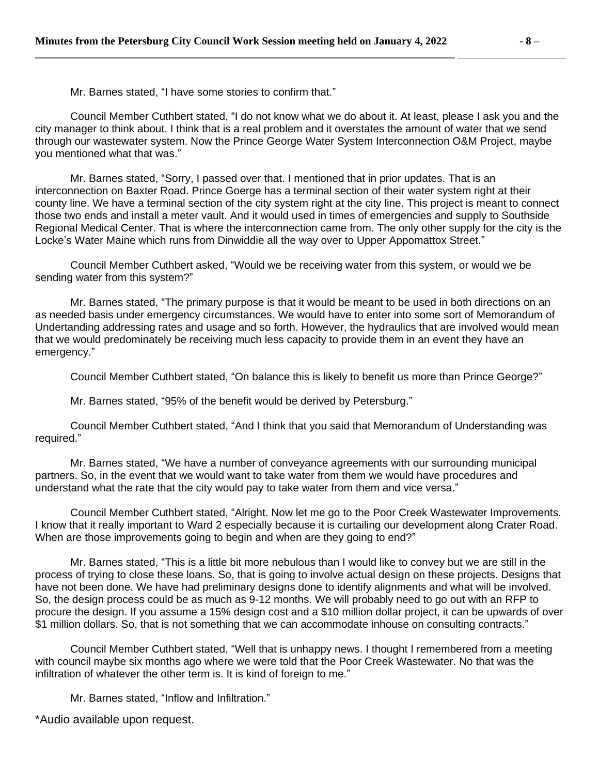Mr. Barnes stated, "I have some stories to confirm that."

Council Member Cuthbert stated, "I do not know what we do about it. At least, please I ask you and the city manager to think about. I think that is a real problem and it overstates the amount of water that we send through our wastewater system. Now the Prince George Water System Interconnection O&M Project, maybe you mentioned what that was."

Mr. Barnes stated, "Sorry, I passed over that. I mentioned that in prior updates. That is an interconnection on Baxter Road. Prince Goerge has a terminal section of their water system right at their county line. We have a terminal section of the city system right at the city line. This project is meant to connect those two ends and install a meter vault. And it would used in times of emergencies and supply to Southside Regional Medical Center. That is where the interconnection came from. The only other supply for the city is the Locke's Water Maine which runs from Dinwiddie all the way over to Upper Appomattox Street."

Council Member Cuthbert asked, "Would we be receiving water from this system, or would we be sending water from this system?"

Mr. Barnes stated, "The primary purpose is that it would be meant to be used in both directions on an as needed basis under emergency circumstances. We would have to enter into some sort of Memorandum of Undertanding addressing rates and usage and so forth. However, the hydraulics that are involved would mean that we would predominately be receiving much less capacity to provide them in an event they have an emergency."

Council Member Cuthbert stated, "On balance this is likely to benefit us more than Prince George?"

Mr. Barnes stated, "95% of the benefit would be derived by Petersburg."

Council Member Cuthbert stated, "And I think that you said that Memorandum of Understanding was required."

Mr. Barnes stated, "We have a number of conveyance agreements with our surrounding municipal partners. So, in the event that we would want to take water from them we would have procedures and understand what the rate that the city would pay to take water from them and vice versa."

Council Member Cuthbert stated, "Alright. Now let me go to the Poor Creek Wastewater Improvements. I know that it really important to Ward 2 especially because it is curtailing our development along Crater Road. When are those improvements going to begin and when are they going to end?"

Mr. Barnes stated, "This is a little bit more nebulous than I would like to convey but we are still in the process of trying to close these loans. So, that is going to involve actual design on these projects. Designs that have not been done. We have had preliminary designs done to identify alignments and what will be involved. So, the design process could be as much as 9-12 months. We will probably need to go out with an RFP to procure the design. If you assume a 15% design cost and a \$10 million dollar project, it can be upwards of over \$1 million dollars. So, that is not something that we can accommodate inhouse on consulting contracts."

Council Member Cuthbert stated, "Well that is unhappy news. I thought I remembered from a meeting with council maybe six months ago where we were told that the Poor Creek Wastewater. No that was the infiltration of whatever the other term is. It is kind of foreign to me."

Mr. Barnes stated, "Inflow and Infiltration."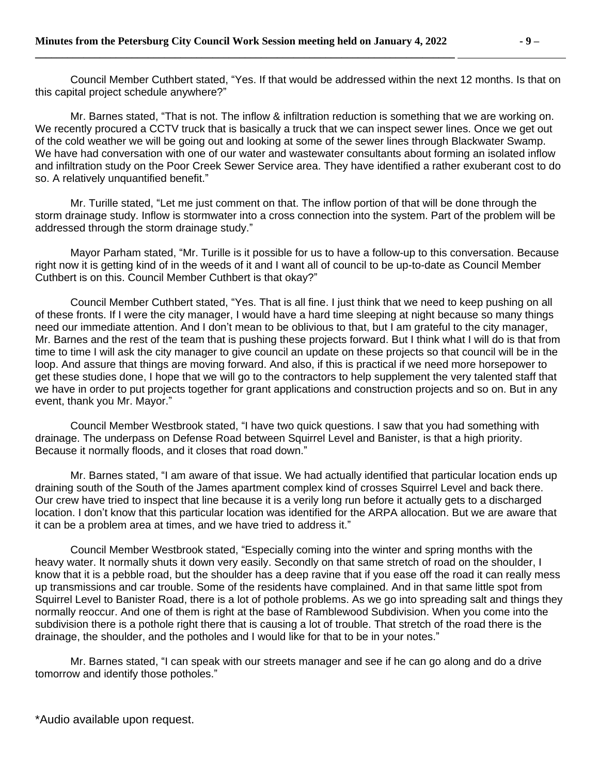Council Member Cuthbert stated, "Yes. If that would be addressed within the next 12 months. Is that on this capital project schedule anywhere?"

Mr. Barnes stated, "That is not. The inflow & infiltration reduction is something that we are working on. We recently procured a CCTV truck that is basically a truck that we can inspect sewer lines. Once we get out of the cold weather we will be going out and looking at some of the sewer lines through Blackwater Swamp. We have had conversation with one of our water and wastewater consultants about forming an isolated inflow and infiltration study on the Poor Creek Sewer Service area. They have identified a rather exuberant cost to do so. A relatively unquantified benefit."

Mr. Turille stated, "Let me just comment on that. The inflow portion of that will be done through the storm drainage study. Inflow is stormwater into a cross connection into the system. Part of the problem will be addressed through the storm drainage study."

Mayor Parham stated, "Mr. Turille is it possible for us to have a follow-up to this conversation. Because right now it is getting kind of in the weeds of it and I want all of council to be up-to-date as Council Member Cuthbert is on this. Council Member Cuthbert is that okay?"

Council Member Cuthbert stated, "Yes. That is all fine. I just think that we need to keep pushing on all of these fronts. If I were the city manager, I would have a hard time sleeping at night because so many things need our immediate attention. And I don't mean to be oblivious to that, but I am grateful to the city manager, Mr. Barnes and the rest of the team that is pushing these projects forward. But I think what I will do is that from time to time I will ask the city manager to give council an update on these projects so that council will be in the loop. And assure that things are moving forward. And also, if this is practical if we need more horsepower to get these studies done, I hope that we will go to the contractors to help supplement the very talented staff that we have in order to put projects together for grant applications and construction projects and so on. But in any event, thank you Mr. Mayor."

Council Member Westbrook stated, "I have two quick questions. I saw that you had something with drainage. The underpass on Defense Road between Squirrel Level and Banister, is that a high priority. Because it normally floods, and it closes that road down."

Mr. Barnes stated, "I am aware of that issue. We had actually identified that particular location ends up draining south of the South of the James apartment complex kind of crosses Squirrel Level and back there. Our crew have tried to inspect that line because it is a verily long run before it actually gets to a discharged location. I don't know that this particular location was identified for the ARPA allocation. But we are aware that it can be a problem area at times, and we have tried to address it."

Council Member Westbrook stated, "Especially coming into the winter and spring months with the heavy water. It normally shuts it down very easily. Secondly on that same stretch of road on the shoulder, I know that it is a pebble road, but the shoulder has a deep ravine that if you ease off the road it can really mess up transmissions and car trouble. Some of the residents have complained. And in that same little spot from Squirrel Level to Banister Road, there is a lot of pothole problems. As we go into spreading salt and things they normally reoccur. And one of them is right at the base of Ramblewood Subdivision. When you come into the subdivision there is a pothole right there that is causing a lot of trouble. That stretch of the road there is the drainage, the shoulder, and the potholes and I would like for that to be in your notes."

Mr. Barnes stated, "I can speak with our streets manager and see if he can go along and do a drive tomorrow and identify those potholes."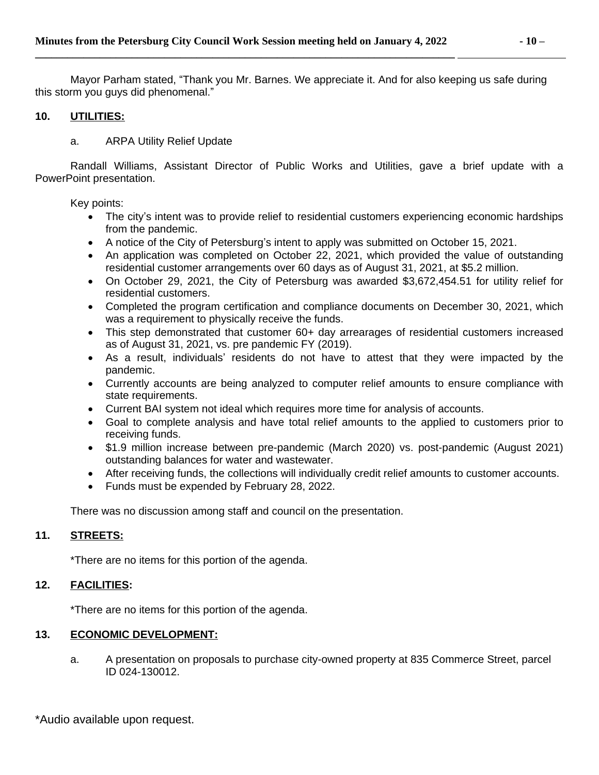Mayor Parham stated, "Thank you Mr. Barnes. We appreciate it. And for also keeping us safe during this storm you guys did phenomenal."

## **10. UTILITIES:**

a. ARPA Utility Relief Update

Randall Williams, Assistant Director of Public Works and Utilities, gave a brief update with a PowerPoint presentation.

Key points:

- The city's intent was to provide relief to residential customers experiencing economic hardships from the pandemic.
- A notice of the City of Petersburg's intent to apply was submitted on October 15, 2021.
- An application was completed on October 22, 2021, which provided the value of outstanding residential customer arrangements over 60 days as of August 31, 2021, at \$5.2 million.
- On October 29, 2021, the City of Petersburg was awarded \$3,672,454.51 for utility relief for residential customers.
- Completed the program certification and compliance documents on December 30, 2021, which was a requirement to physically receive the funds.
- This step demonstrated that customer 60+ day arrearages of residential customers increased as of August 31, 2021, vs. pre pandemic FY (2019).
- As a result, individuals' residents do not have to attest that they were impacted by the pandemic.
- Currently accounts are being analyzed to computer relief amounts to ensure compliance with state requirements.
- Current BAI system not ideal which requires more time for analysis of accounts.
- Goal to complete analysis and have total relief amounts to the applied to customers prior to receiving funds.
- \$1.9 million increase between pre-pandemic (March 2020) vs. post-pandemic (August 2021) outstanding balances for water and wastewater.
- After receiving funds, the collections will individually credit relief amounts to customer accounts.
- Funds must be expended by February 28, 2022.

There was no discussion among staff and council on the presentation.

# **11. STREETS:**

\*There are no items for this portion of the agenda.

### **12. FACILITIES:**

\*There are no items for this portion of the agenda.

### **13. ECONOMIC DEVELOPMENT:**

a. A presentation on proposals to purchase city-owned property at 835 Commerce Street, parcel ID 024-130012.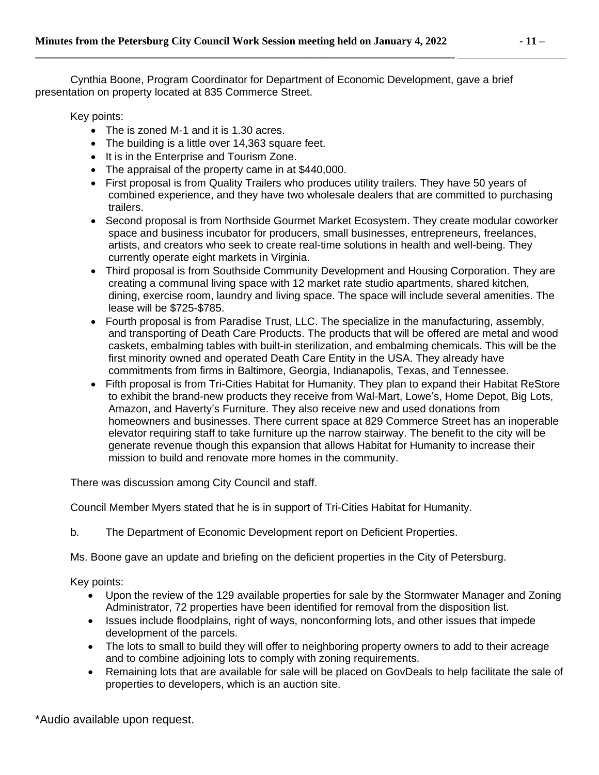Cynthia Boone, Program Coordinator for Department of Economic Development, gave a brief presentation on property located at 835 Commerce Street.

Key points:

- The is zoned M-1 and it is 1.30 acres.
- The building is a little over 14,363 square feet.
- It is in the Enterprise and Tourism Zone.
- The appraisal of the property came in at \$440,000.
- First proposal is from Quality Trailers who produces utility trailers. They have 50 years of combined experience, and they have two wholesale dealers that are committed to purchasing trailers.
- Second proposal is from Northside Gourmet Market Ecosystem. They create modular coworker space and business incubator for producers, small businesses, entrepreneurs, freelances, artists, and creators who seek to create real-time solutions in health and well-being. They currently operate eight markets in Virginia.
- Third proposal is from Southside Community Development and Housing Corporation. They are creating a communal living space with 12 market rate studio apartments, shared kitchen, dining, exercise room, laundry and living space. The space will include several amenities. The lease will be \$725-\$785.
- Fourth proposal is from Paradise Trust, LLC. The specialize in the manufacturing, assembly, and transporting of Death Care Products. The products that will be offered are metal and wood caskets, embalming tables with built-in sterilization, and embalming chemicals. This will be the first minority owned and operated Death Care Entity in the USA. They already have commitments from firms in Baltimore, Georgia, Indianapolis, Texas, and Tennessee.
- Fifth proposal is from Tri-Cities Habitat for Humanity. They plan to expand their Habitat ReStore to exhibit the brand-new products they receive from Wal-Mart, Lowe's, Home Depot, Big Lots, Amazon, and Haverty's Furniture. They also receive new and used donations from homeowners and businesses. There current space at 829 Commerce Street has an inoperable elevator requiring staff to take furniture up the narrow stairway. The benefit to the city will be generate revenue though this expansion that allows Habitat for Humanity to increase their mission to build and renovate more homes in the community.

There was discussion among City Council and staff.

Council Member Myers stated that he is in support of Tri-Cities Habitat for Humanity.

b. The Department of Economic Development report on Deficient Properties.

Ms. Boone gave an update and briefing on the deficient properties in the City of Petersburg.

Key points:

- Upon the review of the 129 available properties for sale by the Stormwater Manager and Zoning Administrator, 72 properties have been identified for removal from the disposition list.
- Issues include floodplains, right of ways, nonconforming lots, and other issues that impede development of the parcels.
- The lots to small to build they will offer to neighboring property owners to add to their acreage and to combine adjoining lots to comply with zoning requirements.
- Remaining lots that are available for sale will be placed on GovDeals to help facilitate the sale of properties to developers, which is an auction site.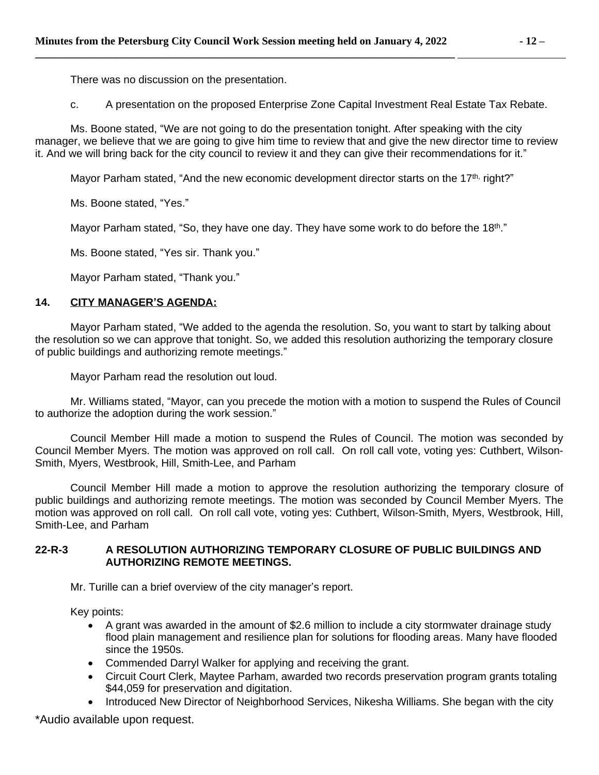There was no discussion on the presentation.

c. A presentation on the proposed Enterprise Zone Capital Investment Real Estate Tax Rebate.

Ms. Boone stated, "We are not going to do the presentation tonight. After speaking with the city manager, we believe that we are going to give him time to review that and give the new director time to review it. And we will bring back for the city council to review it and they can give their recommendations for it."

Mayor Parham stated, "And the new economic development director starts on the  $17<sup>th</sup>$ , right?"

Ms. Boone stated, "Yes."

Mayor Parham stated, "So, they have one day. They have some work to do before the 18<sup>th</sup>."

Ms. Boone stated, "Yes sir. Thank you."

Mayor Parham stated, "Thank you."

### **14. CITY MANAGER'S AGENDA:**

Mayor Parham stated, "We added to the agenda the resolution. So, you want to start by talking about the resolution so we can approve that tonight. So, we added this resolution authorizing the temporary closure of public buildings and authorizing remote meetings."

Mayor Parham read the resolution out loud.

Mr. Williams stated, "Mayor, can you precede the motion with a motion to suspend the Rules of Council to authorize the adoption during the work session."

Council Member Hill made a motion to suspend the Rules of Council. The motion was seconded by Council Member Myers. The motion was approved on roll call. On roll call vote, voting yes: Cuthbert, Wilson-Smith, Myers, Westbrook, Hill, Smith-Lee, and Parham

Council Member Hill made a motion to approve the resolution authorizing the temporary closure of public buildings and authorizing remote meetings. The motion was seconded by Council Member Myers. The motion was approved on roll call. On roll call vote, voting yes: Cuthbert, Wilson-Smith, Myers, Westbrook, Hill, Smith-Lee, and Parham

### **22-R-3 A RESOLUTION AUTHORIZING TEMPORARY CLOSURE OF PUBLIC BUILDINGS AND AUTHORIZING REMOTE MEETINGS.**

Mr. Turille can a brief overview of the city manager's report.

Key points:

- A grant was awarded in the amount of \$2.6 million to include a city stormwater drainage study flood plain management and resilience plan for solutions for flooding areas. Many have flooded since the 1950s.
- Commended Darryl Walker for applying and receiving the grant.
- Circuit Court Clerk, Maytee Parham, awarded two records preservation program grants totaling \$44,059 for preservation and digitation.
- Introduced New Director of Neighborhood Services, Nikesha Williams. She began with the city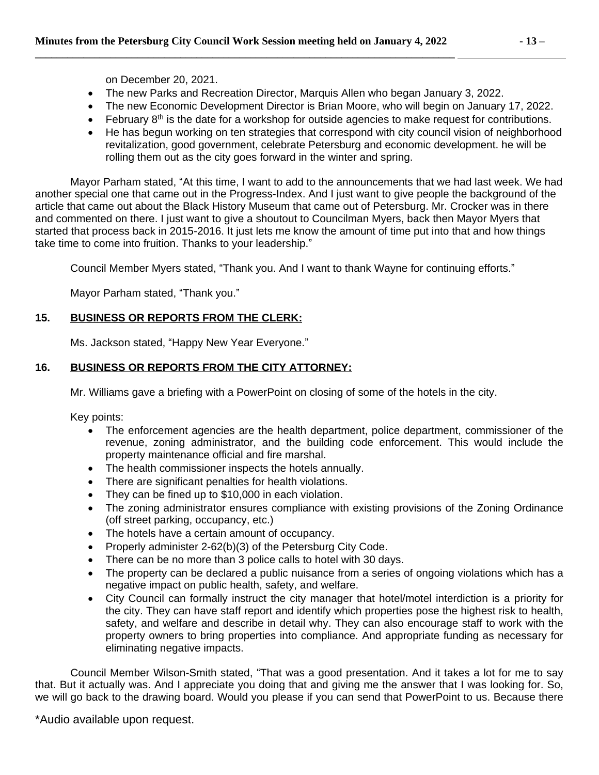on December 20, 2021.

- The new Parks and Recreation Director, Marquis Allen who began January 3, 2022.
- The new Economic Development Director is Brian Moore, who will begin on January 17, 2022.
- February 8<sup>th</sup> is the date for a workshop for outside agencies to make request for contributions.
- He has begun working on ten strategies that correspond with city council vision of neighborhood revitalization, good government, celebrate Petersburg and economic development. he will be rolling them out as the city goes forward in the winter and spring.

Mayor Parham stated, "At this time, I want to add to the announcements that we had last week. We had another special one that came out in the Progress-Index. And I just want to give people the background of the article that came out about the Black History Museum that came out of Petersburg. Mr. Crocker was in there and commented on there. I just want to give a shoutout to Councilman Myers, back then Mayor Myers that started that process back in 2015-2016. It just lets me know the amount of time put into that and how things take time to come into fruition. Thanks to your leadership."

Council Member Myers stated, "Thank you. And I want to thank Wayne for continuing efforts."

Mayor Parham stated, "Thank you."

# **15. BUSINESS OR REPORTS FROM THE CLERK:**

Ms. Jackson stated, "Happy New Year Everyone."

# **16. BUSINESS OR REPORTS FROM THE CITY ATTORNEY:**

Mr. Williams gave a briefing with a PowerPoint on closing of some of the hotels in the city.

Key points:

- The enforcement agencies are the health department, police department, commissioner of the revenue, zoning administrator, and the building code enforcement. This would include the property maintenance official and fire marshal.
- The health commissioner inspects the hotels annually.
- There are significant penalties for health violations.
- They can be fined up to \$10,000 in each violation.
- The zoning administrator ensures compliance with existing provisions of the Zoning Ordinance (off street parking, occupancy, etc.)
- The hotels have a certain amount of occupancy.
- Properly administer 2-62(b)(3) of the Petersburg City Code.
- There can be no more than 3 police calls to hotel with 30 days.
- The property can be declared a public nuisance from a series of ongoing violations which has a negative impact on public health, safety, and welfare.
- City Council can formally instruct the city manager that hotel/motel interdiction is a priority for the city. They can have staff report and identify which properties pose the highest risk to health, safety, and welfare and describe in detail why. They can also encourage staff to work with the property owners to bring properties into compliance. And appropriate funding as necessary for eliminating negative impacts.

Council Member Wilson-Smith stated, "That was a good presentation. And it takes a lot for me to say that. But it actually was. And I appreciate you doing that and giving me the answer that I was looking for. So, we will go back to the drawing board. Would you please if you can send that PowerPoint to us. Because there